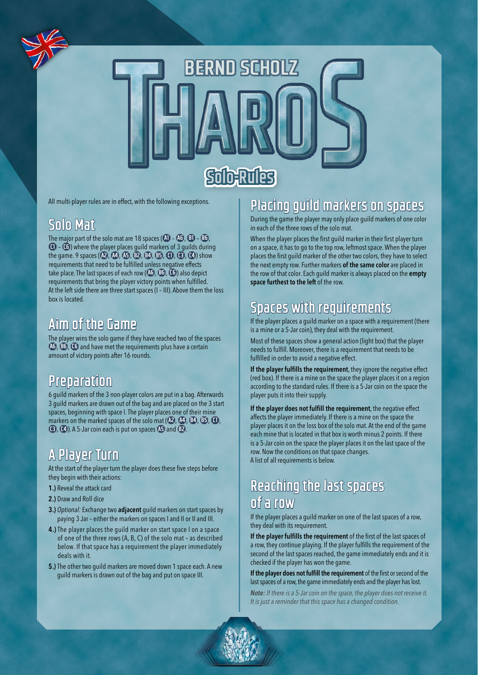

All multi-player rules are in effect, with the following exceptions.

### **Solo Mat**

The major part of the solo mat are 18 spaces ( $\overline{AD}$  –  $\overline{AD}$ ,  $\overline{BD}$  –  $\overline{BD}$ , **C1** – **C6** ) where the player places guild markers of 3 guilds during the game. 9 spaces ( **A2** , **A4** , **A5** , **B2** , **B4** , **B5** , **C1** , **C3** , **C4** ) show requirements that need to be fulfilled unless negative effects take place. The last spaces of each row ( **A6** , **B6** , **C6** ) also depict requirements that bring the player victory points when fulfilled. At the left side there are three start spaces (I – III). Above them the loss box is located.

## **Aim of the Game**

The player wins the solo game if they have reached two of the spaces **A6** , **B6** , **C6** and have met the requirements plus have a certain amount of victory points after 16 rounds.

## **Preparation**

6 guild markers of the 3 non-player colors are put in a bag. Afterwards 3 guild markers are drawn out of the bag and are placed on the 3 start spaces, beginning with space I. The player places one of their mine markers on the marked spaces of the solo mat ( **A2** , **A4** , **B4** , **B5** , **C1** , **C3** , **C4** ). A 5-Jar coin each is put on spaces **A5** and **B2** .

# **A Player Turn**

At the start of the player turn the player does these five steps before they begin with their actions:

- 1.) Reveal the attack card
- 2.) Draw and Roll dice
- 3.) *Optional:* Exchange two adjacent guild markers on start spaces by paying 3 Jar – either the markers on spaces I and II or II and III.
- 4.) The player places the guild marker on start space I on a space of one of the three rows (A, B, C) of the solo mat – as described below. If that space has a requirement the player immediately deals with it.
- 5.) The other two quild markers are moved down 1 space each. A new guild markers is drawn out of the bag and put on space III.

## **Placing guild markers on spaces**

During the game the player may only place guild markers of one color in each of the three rows of the solo mat.

When the player places the first guild marker in their first player turn on a space, it has to go to the top row, leftmost space. When the player places the first guild marker of the other two colors, they have to select the next empty row. Further markers of the same color are placed in the row of that color. Each guild marker is always placed on the empty space furthest to the left of the row.

# **Spaces with requirements**

If the player places a guild marker on a space with a requirement (there is a mine or a 5-Jar coin), they deal with the requirement.

Most of these spaces show a general action (light box) that the player needs to fulfill. Moreover, there is a requirement that needs to be fulfilled in order to avoid a negative effect.

If the player fulfills the requirement, they ignore the negative effect (red box). If there is a mine on the space the player places it on a region according to the standard rules. If there is a 5-Jar coin on the space the player puts it into their supply.

If the player does not fulfill the requirement, the negative effect affects the player immediately. If there is a mine on the space the player places it on the loss box of the solo mat. At the end of the game each mine that is located in that box is worth minus 2 points. If there is a 5-Jar coin on the space the player places it on the last space of the row. Now the conditions on that space changes. A list of all requirements is below.

## **Reaching the last spaces of a row**

If the player places a guild marker on one of the last spaces of a row, they deal with its requirement.

If the player fulfills the requirement of the first of the last spaces of a row, they continue playing. If the player fulfills the requirement of the second of the last spaces reached, the game immediately ends and it is checked if the player has won the game.

If the player does not fulfill the requirement of the first or second of the last spaces of a row, the game immediately ends and the player has lost.

*Note: If there is a 5-Jar coin on the space, the player does not receive it. It is just a reminder that this space has a changed condition.*